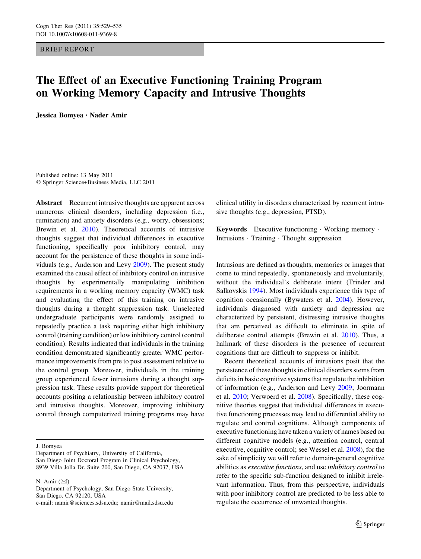BRIEF REPORT

# The Effect of an Executive Functioning Training Program on Working Memory Capacity and Intrusive Thoughts

Jessica Bomyea • Nader Amir

Published online: 13 May 2011 - Springer Science+Business Media, LLC 2011

Abstract Recurrent intrusive thoughts are apparent across numerous clinical disorders, including depression (i.e., rumination) and anxiety disorders (e.g., worry, obsessions; Brewin et al. [2010](#page-5-0)). Theoretical accounts of intrusive thoughts suggest that individual differences in executive functioning, specifically poor inhibitory control, may account for the persistence of these thoughts in some individuals (e.g., Anderson and Levy [2009](#page-5-0)). The present study examined the causal effect of inhibitory control on intrusive thoughts by experimentally manipulating inhibition requirements in a working memory capacity (WMC) task and evaluating the effect of this training on intrusive thoughts during a thought suppression task. Unselected undergraduate participants were randomly assigned to repeatedly practice a task requiring either high inhibitory control (training condition) or low inhibitory control (control condition). Results indicated that individuals in the training condition demonstrated significantly greater WMC performance improvements from pre to post assessment relative to the control group. Moreover, individuals in the training group experienced fewer intrusions during a thought suppression task. These results provide support for theoretical accounts positing a relationship between inhibitory control and intrusive thoughts. Moreover, improving inhibitory control through computerized training programs may have

J. Bomyea

Department of Psychiatry, University of California, San Diego Joint Doctoral Program in Clinical Psychology, 8939 Villa Jolla Dr. Suite 200, San Diego, CA 92037, USA

N. Amir  $(\boxtimes)$ 

Department of Psychology, San Diego State University, San Diego, CA 92120, USA e-mail: namir@sciences.sdsu.edu; namir@mail.sdsu.edu clinical utility in disorders characterized by recurrent intrusive thoughts (e.g., depression, PTSD).

Keywords Executive functioning - Working memory - Intrusions - Training - Thought suppression

Intrusions are defined as thoughts, memories or images that come to mind repeatedly, spontaneously and involuntarily, without the individual's deliberate intent (Trinder and Salkovskis [1994](#page-6-0)). Most individuals experience this type of cognition occasionally (Bywaters et al. [2004\)](#page-5-0). However, individuals diagnosed with anxiety and depression are characterized by persistent, distressing intrusive thoughts that are perceived as difficult to eliminate in spite of deliberate control attempts (Brewin et al. [2010](#page-5-0)). Thus, a hallmark of these disorders is the presence of recurrent cognitions that are difficult to suppress or inhibit.

Recent theoretical accounts of intrusions posit that the persistence of these thoughts in clinical disorders stems from deficits in basic cognitive systems that regulate the inhibition of information (e.g., Anderson and Levy [2009](#page-5-0); Joormann et al. [2010](#page-5-0); Verwoerd et al. [2008](#page-6-0)). Specifically, these cognitive theories suggest that individual differences in executive functioning processes may lead to differential ability to regulate and control cognitions. Although components of executive functioning have taken a variety of names based on different cognitive models (e.g., attention control, central executive, cognitive control; see Wessel et al. [2008](#page-6-0)), for the sake of simplicity we will refer to domain-general cognitive abilities as executive functions, and use inhibitory control to refer to the specific sub-function designed to inhibit irrelevant information. Thus, from this perspective, individuals with poor inhibitory control are predicted to be less able to regulate the occurrence of unwanted thoughts.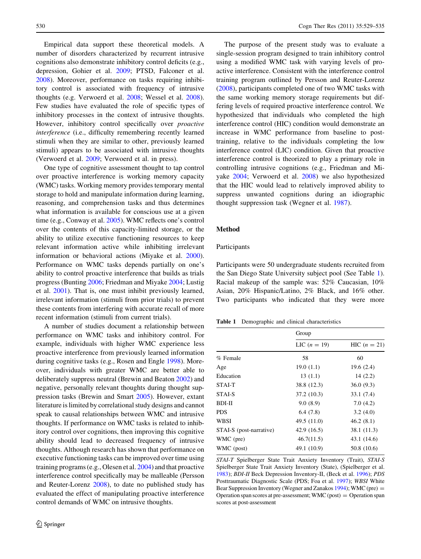<span id="page-1-0"></span>Empirical data support these theoretical models. A number of disorders characterized by recurrent intrusive cognitions also demonstrate inhibitory control deficits (e.g., depression, Gohier et al. [2009](#page-5-0); PTSD, Falconer et al. [2008\)](#page-5-0). Moreover, performance on tasks requiring inhibitory control is associated with frequency of intrusive thoughts (e.g. Verwoerd et al. [2008](#page-6-0); Wessel et al. [2008](#page-6-0)). Few studies have evaluated the role of specific types of inhibitory processes in the context of intrusive thoughts. However, inhibitory control specifically over *proactive* interference (i.e., difficulty remembering recently learned stimuli when they are similar to other, previously learned stimuli) appears to be associated with intrusive thoughts (Verwoerd et al. [2009](#page-6-0); Verwoerd et al. in press).

One type of cognitive assessment thought to tap control over proactive interference is working memory capacity (WMC) tasks. Working memory provides temporary mental storage to hold and manipulate information during learning, reasoning, and comprehension tasks and thus determines what information is available for conscious use at a given time (e.g., Conway et al. [2005\)](#page-5-0). WMC reflects one's control over the contents of this capacity-limited storage, or the ability to utilize executive functioning resources to keep relevant information active while inhibiting irrelevant information or behavioral actions (Miyake et al. [2000](#page-5-0)). Performance on WMC tasks depends partially on one's ability to control proactive interference that builds as trials progress (Bunting [2006](#page-5-0); Friedman and Miyake [2004;](#page-5-0) Lustig et al. [2001](#page-5-0)). That is, one must inhibit previously learned, irrelevant information (stimuli from prior trials) to prevent these contents from interfering with accurate recall of more recent information (stimuli from current trials).

A number of studies document a relationship between performance on WMC tasks and inhibitory control. For example, individuals with higher WMC experience less proactive interference from previously learned information during cognitive tasks (e.g., Rosen and Engle [1998\)](#page-6-0). Moreover, individuals with greater WMC are better able to deliberately suppress neutral (Brewin and Beaton [2002](#page-5-0)) and negative, personally relevant thoughts during thought suppression tasks (Brewin and Smart [2005\)](#page-5-0). However, extant literature is limited by correlational study designs and cannot speak to causal relationships between WMC and intrusive thoughts. If performance on WMC tasks is related to inhibitory control over cognitions, then improving this cognitive ability should lead to decreased frequency of intrusive thoughts. Although research has shown that performance on executive functioning tasks can be improved over time using training programs (e.g., Olesen et al. [2004](#page-6-0)) and that proactive interference control specifically may be malleable (Persson and Reuter-Lorenz [2008\)](#page-6-0), to date no published study has evaluated the effect of manipulating proactive interference control demands of WMC on intrusive thoughts.

The purpose of the present study was to evaluate a single-session program designed to train inhibitory control using a modified WMC task with varying levels of proactive interference. Consistent with the interference control training program outlined by Persson and Reuter-Lorenz [\(2008](#page-6-0)), participants completed one of two WMC tasks with the same working memory storage requirements but differing levels of required proactive interference control. We hypothesized that individuals who completed the high interference control (HIC) condition would demonstrate an increase in WMC performance from baseline to posttraining, relative to the individuals completing the low interference control (LIC) condition. Given that proactive interference control is theorized to play a primary role in controlling intrusive cognitions (e.g., Friedman and Miyake [2004](#page-5-0); Verwoerd et al. [2008](#page-6-0)) we also hypothesized that the HIC would lead to relatively improved ability to suppress unwanted cognitions during an idiographic thought suppression task (Wegner et al. [1987\)](#page-6-0).

## Method

#### Participants

Participants were 50 undergraduate students recruited from the San Diego State University subject pool (See Table 1). Racial makeup of the sample was: 52% Caucasian, 10% Asian, 20% Hispanic/Latino, 2% Black, and 16% other. Two participants who indicated that they were more

Table 1 Demographic and clinical characteristics

|                         | Group          |                |
|-------------------------|----------------|----------------|
|                         | LIC $(n = 19)$ | $HIC (n = 21)$ |
| % Female                | 58             | 60             |
| Age                     | 19.0(1.1)      | 19.6(2.4)      |
| Education               | 13(1.1)        | 14(2.2)        |
| STAI-T                  | 38.8 (12.3)    | 36.0(9.3)      |
| STAL <sub>S</sub>       | 37.2 (10.3)    | 33.1 (7.4)     |
| <b>BDI-II</b>           | 9.0(8.9)       | 7.0(4.2)       |
| <b>PDS</b>              | 6.4(7.8)       | 3.2(4.0)       |
| WBSI                    | 49.5 (11.0)    | 46.2(8.1)      |
| STAI-S (post-narrative) | 42.9 (16.5)    | 38.1 (11.3)    |
| WMC (pre)               | 46.7(11.5)     | 43.1 (14.6)    |
| WMC (post)              | 49.1 (10.9)    | 50.8 (10.6)    |

STAI-T Spielberger State Trait Anxiety Inventory (Trait), STAI-S Spielberger State Trait Anxiety Inventory (State), (Spielberger et al. [1983](#page-6-0)); BDI-II Beck Depression Inventory-II, (Beck et al. [1996](#page-5-0)); PDS Posttraumatic Diagnostic Scale (PDS; Foa et al. [1997](#page-5-0)); WBSI White Bear Suppression Inventory (Wegner and Zanakos [1994\)](#page-6-0); WMC (pre) = Operation span scores at pre-assessment;  $WMC (post) = Operation span$ scores at post-assessment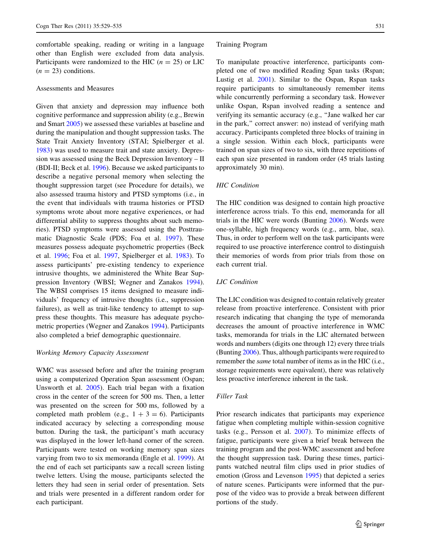comfortable speaking, reading or writing in a language other than English were excluded from data analysis. Participants were randomized to the HIC  $(n = 25)$  or LIC  $(n = 23)$  conditions.

## Assessments and Measures

Given that anxiety and depression may influence both cognitive performance and suppression ability (e.g., Brewin and Smart [2005\)](#page-5-0) we assessed these variables at baseline and during the manipulation and thought suppression tasks. The State Trait Anxiety Inventory (STAI; Spielberger et al. [1983\)](#page-6-0) was used to measure trait and state anxiety. Depression was assessed using the Beck Depression Inventory – II (BDI-II; Beck et al. [1996](#page-5-0)). Because we asked participants to describe a negative personal memory when selecting the thought suppression target (see Procedure for details), we also assessed trauma history and PTSD symptoms (i.e., in the event that individuals with trauma histories or PTSD symptoms wrote about more negative experiences, or had differential ability to suppress thoughts about such memories). PTSD symptoms were assessed using the Posttraumatic Diagnostic Scale (PDS; Foa et al. [1997\)](#page-5-0). These measures possess adequate psychometric properties (Beck et al. [1996;](#page-5-0) Foa et al. [1997,](#page-5-0) Spielberger et al. [1983](#page-6-0)). To assess participants' pre-existing tendency to experience intrusive thoughts, we administered the White Bear Suppression Inventory (WBSI; Wegner and Zanakos [1994](#page-6-0)). The WBSI comprises 15 items designed to measure individuals' frequency of intrusive thoughts (i.e., suppression failures), as well as trait-like tendency to attempt to suppress these thoughts. This measure has adequate psychometric properties (Wegner and Zanakos [1994](#page-6-0)). Participants also completed a brief demographic questionnaire.

#### Working Memory Capacity Assessment

WMC was assessed before and after the training program using a computerized Operation Span assessment (Ospan; Unsworth et al. [2005\)](#page-6-0). Each trial began with a fixation cross in the center of the screen for 500 ms. Then, a letter was presented on the screen for 500 ms, followed by a completed math problem (e.g.,  $1 + 3 = 6$ ). Participants indicated accuracy by selecting a corresponding mouse button. During the task, the participant's math accuracy was displayed in the lower left-hand corner of the screen. Participants were tested on working memory span sizes varying from two to six memoranda (Engle et al. [1999\)](#page-5-0). At the end of each set participants saw a recall screen listing twelve letters. Using the mouse, participants selected the letters they had seen in serial order of presentation. Sets and trials were presented in a different random order for each participant.

#### Training Program

To manipulate proactive interference, participants completed one of two modified Reading Span tasks (Rspan; Lustig et al. [2001](#page-5-0)). Similar to the Ospan, Rspan tasks require participants to simultaneously remember items while concurrently performing a secondary task. However unlike Ospan, Rspan involved reading a sentence and verifying its semantic accuracy (e.g., ''Jane walked her car in the park,'' correct answer: no) instead of verifying math accuracy. Participants completed three blocks of training in a single session. Within each block, participants were trained on span sizes of two to six, with three repetitions of each span size presented in random order (45 trials lasting approximately 30 min).

#### HIC Condition

The HIC condition was designed to contain high proactive interference across trials. To this end, memoranda for all trials in the HIC were words (Bunting [2006\)](#page-5-0). Words were one-syllable, high frequency words (e.g., arm, blue, sea). Thus, in order to perform well on the task participants were required to use proactive interference control to distinguish their memories of words from prior trials from those on each current trial.

# LIC Condition

The LIC condition was designed to contain relatively greater release from proactive interference. Consistent with prior research indicating that changing the type of memoranda decreases the amount of proactive interference in WMC tasks, memoranda for trials in the LIC alternated between words and numbers (digits one through 12) every three trials (Bunting [2006](#page-5-0)). Thus, although participants were required to remember the same total number of items as in the HIC (i.e., storage requirements were equivalent), there was relatively less proactive interference inherent in the task.

## Filler Task

Prior research indicates that participants may experience fatigue when completing multiple within-session cognitive tasks (e.g., Persson et al. [2007\)](#page-6-0). To minimize effects of fatigue, participants were given a brief break between the training program and the post-WMC assessment and before the thought suppression task. During these times, participants watched neutral film clips used in prior studies of emotion (Gross and Levenson [1995\)](#page-5-0) that depicted a series of nature scenes. Participants were informed that the purpose of the video was to provide a break between different portions of the study.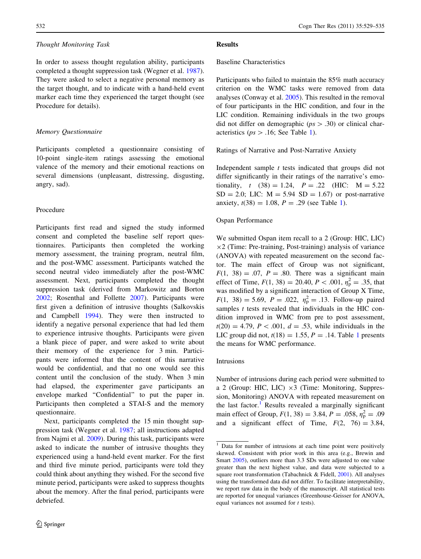#### Thought Monitoring Task

In order to assess thought regulation ability, participants completed a thought suppression task (Wegner et al. [1987](#page-6-0)). They were asked to select a negative personal memory as the target thought, and to indicate with a hand-held event marker each time they experienced the target thought (see Procedure for details).

## Memory Questionnaire

Participants completed a questionnaire consisting of 10-point single-item ratings assessing the emotional valence of the memory and their emotional reactions on several dimensions (unpleasant, distressing, disgusting, angry, sad).

#### Procedure

Participants first read and signed the study informed consent and completed the baseline self report questionnaires. Participants then completed the working memory assessment, the training program, neutral film, and the post-WMC assessment. Participants watched the second neutral video immediately after the post-WMC assessment. Next, participants completed the thought suppression task (derived from Markowitz and Borton [2002;](#page-5-0) Rosenthal and Follette [2007](#page-6-0)). Participants were first given a definition of intrusive thoughts (Salkovskis and Campbell [1994\)](#page-6-0). They were then instructed to identify a negative personal experience that had led them to experience intrusive thoughts. Participants were given a blank piece of paper, and were asked to write about their memory of the experience for 3 min. Participants were informed that the content of this narrative would be confidential, and that no one would see this content until the conclusion of the study. When 3 min had elapsed, the experimenter gave participants an envelope marked ''Confidential'' to put the paper in. Participants then completed a STAI-S and the memory questionnaire.

Next, participants completed the 15 min thought suppression task (Wegner et al. [1987;](#page-6-0) all instructions adapted from Najmi et al. [2009\)](#page-5-0). During this task, participants were asked to indicate the number of intrusive thoughts they experienced using a hand-held event marker. For the first and third five minute period, participants were told they could think about anything they wished. For the second five minute period, participants were asked to suppress thoughts about the memory. After the final period, participants were debriefed.

## Results

## Baseline Characteristics

Participants who failed to maintain the 85% math accuracy criterion on the WMC tasks were removed from data analyses (Conway et al. [2005\)](#page-5-0). This resulted in the removal of four participants in the HIC condition, and four in the LIC condition. Remaining individuals in the two groups did not differ on demographic ( $ps > .30$ ) or clinical characteristics ( $ps > .16$ ; See Table [1\)](#page-1-0).

#### Ratings of Narrative and Post-Narrative Anxiety

Independent sample  $t$  tests indicated that groups did not differ significantly in their ratings of the narrative's emotionality,  $t (38) = 1.24$ ,  $P = .22$  (HIC:  $M = 5.22$  $SD = 2.0$ ; LIC:  $M = 5.94$   $SD = 1.67$  or post-narrative anxiety,  $t(38) = 1.08$  $t(38) = 1.08$  $t(38) = 1.08$ ,  $P = .29$  (see Table 1).

#### Ospan Performance

We submitted Ospan item recall to a 2 (Group: HIC, LIC)  $\times$ 2 (Time: Pre-training, Post-training) analysis of variance (ANOVA) with repeated measurement on the second factor. The main effect of Group was not significant,  $F(1, 38) = .07$ ,  $P = .80$ . There was a significant main effect of Time,  $F(1, 38) = 20.40, P < .001, \eta_{\rm p}^2 = .35$ , that was modified by a significant interaction of Group X Time,  $F(1, 38) = 5.69$ ,  $P = .022$ ,  $\eta_{\rm p}^2 = .13$ . Follow-up paired samples  $t$  tests revealed that individuals in the HIC condition improved in WMC from pre to post assessment,  $t(20) = 4.79, P < .001, d = .53$ , while individuals in the LIC group did not,  $t(18) = 1.55$  $t(18) = 1.55$  $t(18) = 1.55$ ,  $P = .14$ . Table 1 presents the means for WMC performance.

#### Intrusions

Number of intrusions during each period were submitted to a 2 (Group: HIC, LIC)  $\times 3$  (Time: Monitoring, Suppression, Monitoring) ANOVA with repeated measurement on the last factor.<sup>1</sup> Results revealed a marginally significant main effect of Group,  $F(1, 38) = 3.84$ ,  $P = .058$ ,  $\eta_{\rm p}^2 = .09$ and a significant effect of Time,  $F(2, 76) = 3.84$ ,

<sup>&</sup>lt;sup>1</sup> Data for number of intrusions at each time point were positively skewed. Consistent with prior work in this area (e.g., Brewin and Smart [2005](#page-5-0)), outliers more than 3.3 SDs were adjusted to one value greater than the next highest value, and data were subjected to a square root transformation (Tabachnick & Fidell, [2001\)](#page-6-0). All analyses using the transformed data did not differ. To facilitate interpretability, we report raw data in the body of the manuscript. All statistical tests are reported for unequal variances (Greenhouse-Geisser for ANOVA, equal variances not assumed for t tests).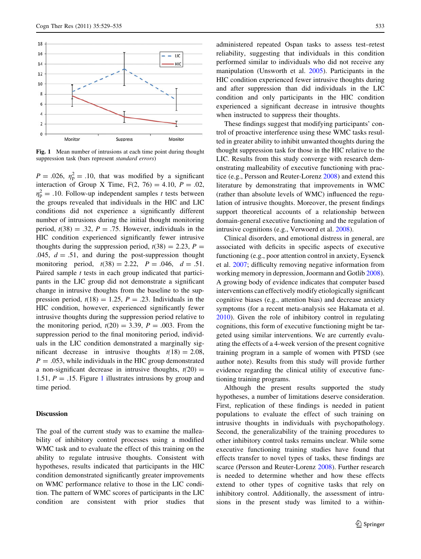

Fig. 1 Mean number of intrusions at each time point during thought suppression task (bars represent standard errors)

 $P = .026$ ,  $\eta_{\rm p}^2 = .10$ , that was modified by a significant interaction of Group X Time,  $F(2, 76) = 4.10$ ,  $P = .02$ ,  $\eta_{\rm p}^2$  = .10. Follow-up independent samples t tests between the groups revealed that individuals in the HIC and LIC conditions did not experience a significantly different number of intrusions during the initial thought monitoring period,  $t(38) = .32$ ,  $P = .75$ . However, individuals in the HIC condition experienced significantly fewer intrusive thoughts during the suppression period,  $t(38) = 2.23$ ,  $P =$ .045,  $d = .51$ , and during the post-suppression thought monitoring period,  $t(38) = 2.22$ ,  $P = .046$ ,  $d = .51$ . Paired sample  $t$  tests in each group indicated that participants in the LIC group did not demonstrate a significant change in intrusive thoughts from the baseline to the suppression period,  $t(18) = 1.25$ ,  $P = .23$ . Individuals in the HIC condition, however, experienced significantly fewer intrusive thoughts during the suppression period relative to the monitoring period,  $t(20) = 3.39$ ,  $P = .003$ . From the suppression period to the final monitoring period, individuals in the LIC condition demonstrated a marginally significant decrease in intrusive thoughts  $t(18) = 2.08$ ,  $P = 0.053$ , while individuals in the HIC group demonstrated a non-significant decrease in intrusive thoughts,  $t(20) =$ 1.51,  $P = 0.15$ . Figure 1 illustrates intrusions by group and time period.

## **Discussion**

The goal of the current study was to examine the malleability of inhibitory control processes using a modified WMC task and to evaluate the effect of this training on the ability to regulate intrusive thoughts. Consistent with hypotheses, results indicated that participants in the HIC condition demonstrated significantly greater improvements on WMC performance relative to those in the LIC condition. The pattern of WMC scores of participants in the LIC condition are consistent with prior studies that

administered repeated Ospan tasks to assess test–retest reliability, suggesting that individuals in this condition performed similar to individuals who did not receive any manipulation (Unsworth et al. [2005](#page-6-0)). Participants in the HIC condition experienced fewer intrusive thoughts during and after suppression than did individuals in the LIC condition and only participants in the HIC condition experienced a significant decrease in intrusive thoughts when instructed to suppress their thoughts.

These findings suggest that modifying participants' control of proactive interference using these WMC tasks resulted in greater ability to inhibit unwanted thoughts during the thought suppression task for those in the HIC relative to the LIC. Results from this study converge with research demonstrating malleability of executive functioning with practice (e.g., Persson and Reuter-Lorenz [2008\)](#page-6-0) and extend this literature by demonstrating that improvements in WMC (rather than absolute levels of WMC) influenced the regulation of intrusive thoughts. Moreover, the present findings support theoretical accounts of a relationship between domain-general executive functioning and the regulation of intrusive cognitions (e.g., Verwoerd et al. [2008](#page-6-0)).

Clinical disorders, and emotional distress in general, are associated with deficits in specific aspects of executive functioning (e.g., poor attention control in anxiety, Eysenck et al. [2007;](#page-5-0) difficulty removing negative information from working memory in depression, Joormann and Gotlib [2008](#page-5-0)). A growing body of evidence indicates that computer based interventions can effectively modify etiologically significant cognitive biases (e.g., attention bias) and decrease anxiety symptoms (for a recent meta-analysis see Hakamata et al. [2010](#page-5-0)). Given the role of inhibitory control in regulating cognitions, this form of executive functioning might be targeted using similar interventions. We are currently evaluating the effects of a 4-week version of the present cognitive training program in a sample of women with PTSD (see author note). Results from this study will provide further evidence regarding the clinical utility of executive functioning training programs.

Although the present results supported the study hypotheses, a number of limitations deserve consideration. First, replication of these findings is needed in patient populations to evaluate the effect of such training on intrusive thoughts in individuals with psychopathology. Second, the generalizability of the training procedures to other inhibitory control tasks remains unclear. While some executive functioning training studies have found that effects transfer to novel types of tasks, these findings are scarce (Persson and Reuter-Lorenz [2008\)](#page-6-0). Further research is needed to determine whether and how these effects extend to other types of cognitive tasks that rely on inhibitory control. Additionally, the assessment of intrusions in the present study was limited to a within-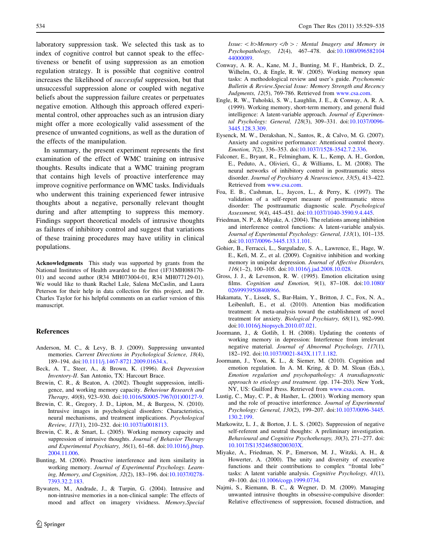<span id="page-5-0"></span>laboratory suppression task. We selected this task as to index of cognitive control but cannot speak to the effectiveness or benefit of using suppression as an emotion regulation strategy. It is possible that cognitive control increases the likelihood of successful suppression, but that unsuccessful suppression alone or coupled with negative beliefs about the suppression failure creates or perpetuates negative emotion. Although this approach offered experimental control, other approaches such as an intrusion diary might offer a more ecologically valid assessment of the presence of unwanted cognitions, as well as the duration of the effects of the manipulation.

In summary, the present experiment represents the first examination of the effect of WMC training on intrusive thoughts. Results indicate that a WMC training program that contains high levels of proactive interference may improve cognitive performance on WMC tasks. Individuals who underwent this training experienced fewer intrusive thoughts about a negative, personally relevant thought during and after attempting to suppress this memory. Findings support theoretical models of intrusive thoughts as failures of inhibitory control and suggest that variations of these training procedures may have utility in clinical populations.

Acknowledgments This study was supported by grants from the National Institutes of Health awarded to the first (1F31MH088170- 01) and second author (R34 MH073004-01, R34 MH077129-01). We would like to thank Rachel Lale, Salena McCaslin, and Laura Peterson for their help in data collection for this project, and Dr. Charles Taylor for his helpful comments on an earlier version of this manuscript.

# References

- Anderson, M. C., & Levy, B. J. (2009). Suppressing unwanted memories. Current Directions in Psychological Science, 18(4), 189–194. doi:[10.1111/j.1467-8721.2009.01634.x.](http://dx.doi.org/10.1111/j.1467-8721.2009.01634.x)
- Beck, A. T., Steer, A., & Brown, K. (1996). Beck Depression Inventory-II. San Antonio, TX: Harcourt Brace.
- Brewin, C. R., & Beaton, A. (2002). Thought suppression, intelligence, and working memory capacity. Behaviour Research and Therapy, 40(8), 923–930. doi[:10.1016/S0005-7967\(01\)00127-9.](http://dx.doi.org/10.1016/S0005-7967(01)00127-9)
- Brewin, C. R., Gregory, J. D., Lipton, M., & Burgess, N. (2010). Intrusive images in psychological disorders: Characteristics, neural mechanisms, and treatment implications. Psychological Review, 117(1), 210–232. doi:[10.1037/a0018113](http://dx.doi.org/10.1037/a0018113).
- Brewin, C. R., & Smart, L. (2005). Working memory capacity and suppression of intrusive thoughts. Journal of Behavior Therapy and Experimental Psychiatry, 36(1), 61–68. doi:[10.1016/j.jbtep.](http://dx.doi.org/10.1016/j.jbtep.2004.11.006) [2004.11.006](http://dx.doi.org/10.1016/j.jbtep.2004.11.006).
- Bunting, M. (2006). Proactive interference and item similarity in working memory. Journal of Experimental Psychology. Learning, Memory, and Cognition, 32(2), 183–196. doi[:10.1037/0278-](http://dx.doi.org/10.1037/0278-7393.32.2.183) [7393.32.2.183.](http://dx.doi.org/10.1037/0278-7393.32.2.183)
- Bywaters, M., Andrade, J., & Turpin, G. (2004). Intrusive and non-intrusive memories in a non-clinical sample: The effects of mood and affect on imagery vividness. Memory.Special

Issue:  $\lt b$  Memory  $\lt/b$  > : Mental Imagery and Memory in Psychopathology, 12(4), 467–478. doi[:10.1080/096582104](http://dx.doi.org/10.1080/09658210444000089) [44000089](http://dx.doi.org/10.1080/09658210444000089).

- Conway, A. R. A., Kane, M. J., Bunting, M. F., Hambrick, D. Z., Wilhelm, O., & Engle, R. W. (2005). Working memory span tasks: A methodological review and user's guide. Psychonomic Bulletin & Review.Special Issue: Memory Strength and Recency Judgments, 12(5), 769-786. Retrieved from [www.csa.com](http://www.csa.com).
- Engle, R. W., Tuholski, S. W., Laughlin, J. E., & Conway, A. R. A. (1999). Working memory, short-term memory, and general fluid intelligence: A latent-variable approach. Journal of Experimental Psychology: General, 128(3), 309–331. doi:[10.1037/0096-](http://dx.doi.org/10.1037/0096-3445.128.3.309) [3445.128.3.309](http://dx.doi.org/10.1037/0096-3445.128.3.309).
- Eysenck, M. W., Derakshan, N., Santos, R., & Calvo, M. G. (2007). Anxiety and cognitive performance: Attentional control theory. Emotion, 7(2), 336–353. doi:[10.1037/1528-3542.7.2.336.](http://dx.doi.org/10.1037/1528-3542.7.2.336)
- Falconer, E., Bryant, R., Felmingham, K. L., Kemp, A. H., Gordon, E., Peduto, A., Olivieri, G., & Williams, L. M. (2008). The neural networks of inhibitory control in posttraumatic stress disorder. Journal of Psychiatry & Neuroscience, 33(5), 413–422. Retrieved from [www.csa.com](http://www.csa.com).
- Foa, E. B., Cashman, L., Jaycox, L., & Perry, K. (1997). The validation of a self-report measure of posttraumatic stress disorder: The posttraumatic diagnostic scale. Psychological Assessment, 9(4), 445–451. doi:[10.1037/1040-3590.9.4.445.](http://dx.doi.org/10.1037/1040-3590.9.4.445)
- Friedman, N. P., & Miyake, A. (2004). The relations among inhibition and interference control functions: A latent-variable analysis. Journal of Experimental Psychology: General, 133(1), 101–135. doi[:10.1037/0096-3445.133.1.101.](http://dx.doi.org/10.1037/0096-3445.133.1.101)
- Gohier, B., Ferracci, L., Surguladze, S. A., Lawrence, E., Hage, W. E., Kefi, M. Z., et al. (2009). Cognitive inhibition and working memory in unipolar depression. Journal of Affective Disorders, 116(1–2), 100–105. doi:[10.1016/j.jad.2008.10.028](http://dx.doi.org/10.1016/j.jad.2008.10.028).
- Gross, J. J., & Levenson, R. W. (1995). Emotion elicitation using films. Cognition and Emotion, 9(1), 87–108. doi[:10.1080/](http://dx.doi.org/10.1080/02699939508408966) [02699939508408966](http://dx.doi.org/10.1080/02699939508408966).
- Hakamata, Y., Lissek, S., Bar-Haim, Y., Britton, J. C., Fox, N. A., Leibenluft, E., et al. (2010). Attention bias modification treatment: A meta-analysis toward the establishment of novel treatment for anxiety. Biological Psychiatry, 68(11), 982–990. doi[:10.1016/j.biopsych.2010.07.021.](http://dx.doi.org/10.1016/j.biopsych.2010.07.021)
- Joormann, J., & Gotlib, I. H. (2008). Updating the contents of working memory in depression: Interference from irrelevant negative material. Journal of Abnormal Psychology, 117(1), 182–192. doi:[10.1037/0021-843X.117.1.182](http://dx.doi.org/10.1037/0021-843X.117.1.182).
- Joormann, J., Yoon, K. L., & Siemer, M. (2010). Cognition and emotion regulation. In A. M. Kring, & D. M. Sloan (Eds.), Emotion regulation and psychopathology: A transdiagnostic approach to etiology and treatment. (pp. 174–203). New York, NY, US: Guilford Press. Retrieved from [www.csa.com](http://www.csa.com).
- Lustig, C., May, C. P., & Hasher, L. (2001). Working memory span and the role of proactive interference. Journal of Experimental Psychology: General, 130(2), 199–207. doi:[10.1037/0096-3445.](http://dx.doi.org/10.1037/0096-3445.130.2.199) [130.2.199](http://dx.doi.org/10.1037/0096-3445.130.2.199).
- Markowitz, L. J., & Borton, J. L. S. (2002). Suppression of negative self-referent and neutral thoughts: A preliminary investigation. Behavioural and Cognitive Psychotherapy, 30(3), 271–277. doi: [10.1017/S135246580200303X](http://dx.doi.org/10.1017/S135246580200303X).
- Miyake, A., Friedman, N. P., Emerson, M. J., Witzki, A. H., & Howerter, A. (2000). The unity and diversity of executive functions and their contributions to complex ''frontal lobe'' tasks: A latent variable analysis. Cognitive Psychology, 41(1), 49–100. doi:[10.1006/cogp.1999.0734](http://dx.doi.org/10.1006/cogp.1999.0734).
- Najmi, S., Riemann, B. C., & Wegner, D. M. (2009). Managing unwanted intrusive thoughts in obsessive-compulsive disorder: Relative effectiveness of suppression, focused distraction, and